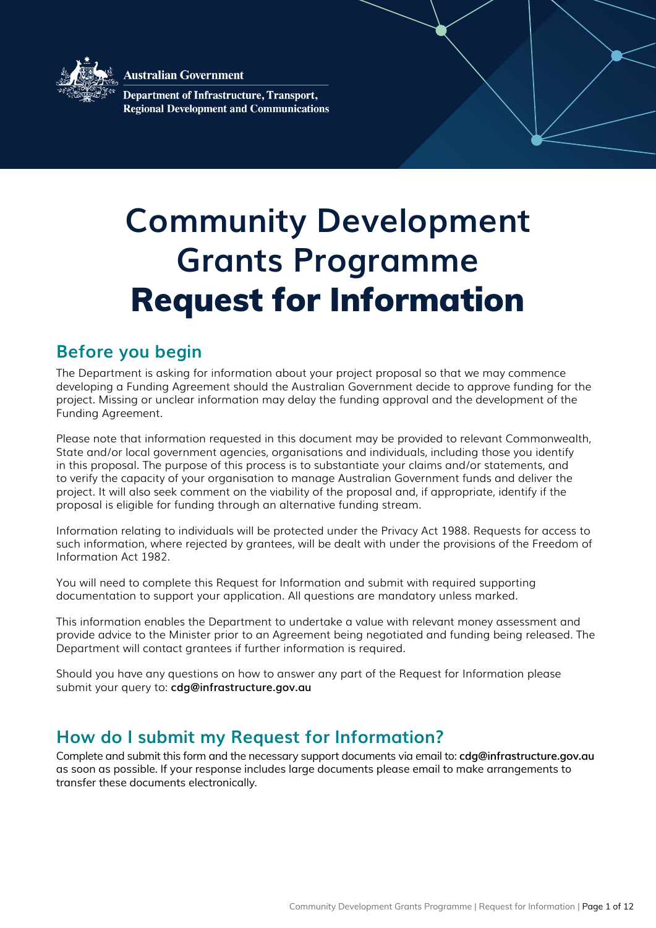

**Australian Government** 

**Department of Infrastructure, Transport, Regional Development and Communications** 

# **Community Development Grants Programme**  Request for Information

### **Before you begin**

The Department is asking for information about your project proposal so that we may commence developing a Funding Agreement should the Australian Government decide to approve funding for the project. Missing or unclear information may delay the funding approval and the development of the Funding Agreement.

Please note that information requested in this document may be provided to relevant Commonwealth, State and/or local government agencies, organisations and individuals, including those you identify in this proposal. The purpose of this process is to substantiate your claims and/or statements, and to verify the capacity of your organisation to manage Australian Government funds and deliver the project. It will also seek comment on the viability of the proposal and, if appropriate, identify if the proposal is eligible for funding through an alternative funding stream.

Information relating to individuals will be protected under the Privacy Act 1988. Requests for access to such information, where rejected by grantees, will be dealt with under the provisions of the Freedom of Information Act 1982.

You will need to complete this Request for Information and submit with required supporting documentation to support your application. All questions are mandatory unless marked.

This information enables the Department to undertake a value with relevant money assessment and provide advice to the Minister prior to an Agreement being negotiated and funding being released. The Department will contact grantees if further information is required.

Should you have any questions on how to answer any part of the Request for Information please submit your query to: **cdg@infrastructure.gov.au**

### **How do I submit my Request for Information?**

Complete and submit this form and the necessary support documents via email to: **cdg@infrastructure.gov.au** as soon as possible. If your response includes large documents please email to make arrangements to transfer these documents electronically.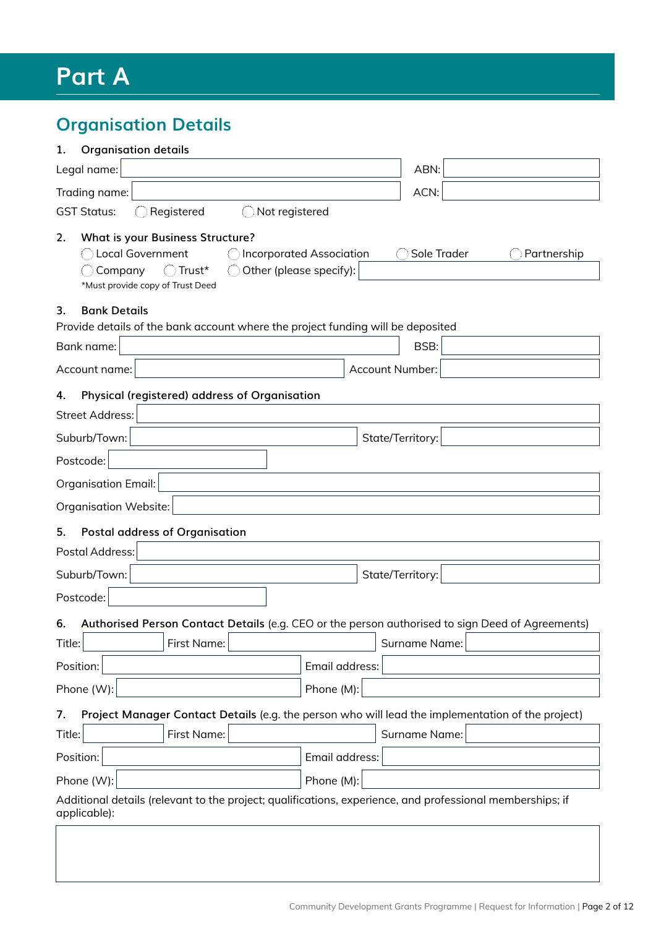## **Part A**

### **Organisation Details**

| <b>Organisation details</b><br>1.                                                                                                                                                                    |                            |
|------------------------------------------------------------------------------------------------------------------------------------------------------------------------------------------------------|----------------------------|
| Legal name:                                                                                                                                                                                          | ABN:                       |
| Trading name:                                                                                                                                                                                        | ACN:                       |
| <b>GST Status:</b><br>Registered<br>Not registered                                                                                                                                                   |                            |
| <b>What is your Business Structure?</b><br>2.<br><b>Local Government</b><br><b>Incorporated Association</b><br>Other (please specify):<br>Trust*<br>Company<br>(<br>*Must provide copy of Trust Deed | Sole Trader<br>Partnership |
| 3.<br><b>Bank Details</b>                                                                                                                                                                            |                            |
| Provide details of the bank account where the project funding will be deposited                                                                                                                      |                            |
| Bank name:                                                                                                                                                                                           | BSB:                       |
| Account name:<br>Account Number:                                                                                                                                                                     |                            |
| Physical (registered) address of Organisation<br>4.                                                                                                                                                  |                            |
| <b>Street Address:</b>                                                                                                                                                                               |                            |
| Suburb/Town:<br>State/Territory:                                                                                                                                                                     |                            |
| Postcode:                                                                                                                                                                                            |                            |
| <b>Organisation Email:</b>                                                                                                                                                                           |                            |
| Organisation Website:                                                                                                                                                                                |                            |
| 5.<br><b>Postal address of Organisation</b>                                                                                                                                                          |                            |
| Postal Address:                                                                                                                                                                                      |                            |
| Suburb/Town:<br>State/Territory:                                                                                                                                                                     |                            |
| Postcode:                                                                                                                                                                                            |                            |
|                                                                                                                                                                                                      |                            |
| Authorised Person Contact Details (e.g. CEO or the person authorised to sign Deed of Agreements)<br>6.<br>Title:<br>First Name:                                                                      | Surname Name:              |
| Position:<br>Email address:                                                                                                                                                                          |                            |
|                                                                                                                                                                                                      |                            |
| Phone (W):<br>Phone (M):                                                                                                                                                                             |                            |
| Project Manager Contact Details (e.g. the person who will lead the implementation of the project)<br>7.                                                                                              |                            |
| First Name:<br>Title:                                                                                                                                                                                | Surname Name:              |
| Position:<br>Email address:                                                                                                                                                                          |                            |
| Phone (W):<br>Phone (M):                                                                                                                                                                             |                            |
| Additional details (relevant to the project; qualifications, experience, and professional memberships; if<br>applicable):                                                                            |                            |
|                                                                                                                                                                                                      |                            |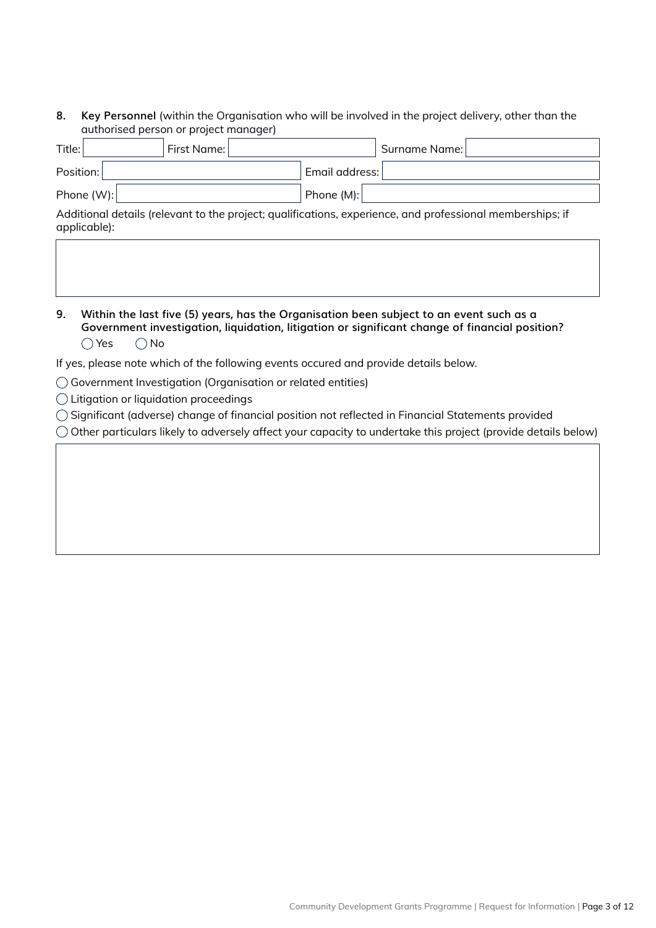### **8. Key Personnel** (within the Organisation who will be involved in the project delivery, other than the authorised person or project manager)

| Title:       | First Name: |                | Surname Name: |
|--------------|-------------|----------------|---------------|
| Position:    |             | Email address: |               |
| Phone $(W):$ |             | Phone (M):     |               |

Additional details (relevant to the project; qualifications, experience, and professional memberships; if applicable):

**9. Within the last five (5) years, has the Organisation been subject to an event such as a Government investigation, liquidation, litigation or significant change of financial position?**  $\bigcap$  Yes  $\bigcap$  No

If yes, please note which of the following events occured and provide details below.

- Government Investigation (Organisation or related entities)
- Litigation or liquidation proceedings
- Significant (adverse) change of financial position not reflected in Financial Statements provided

 $\bigcirc$  Other particulars likely to adversely affect your capacity to undertake this project (provide details below)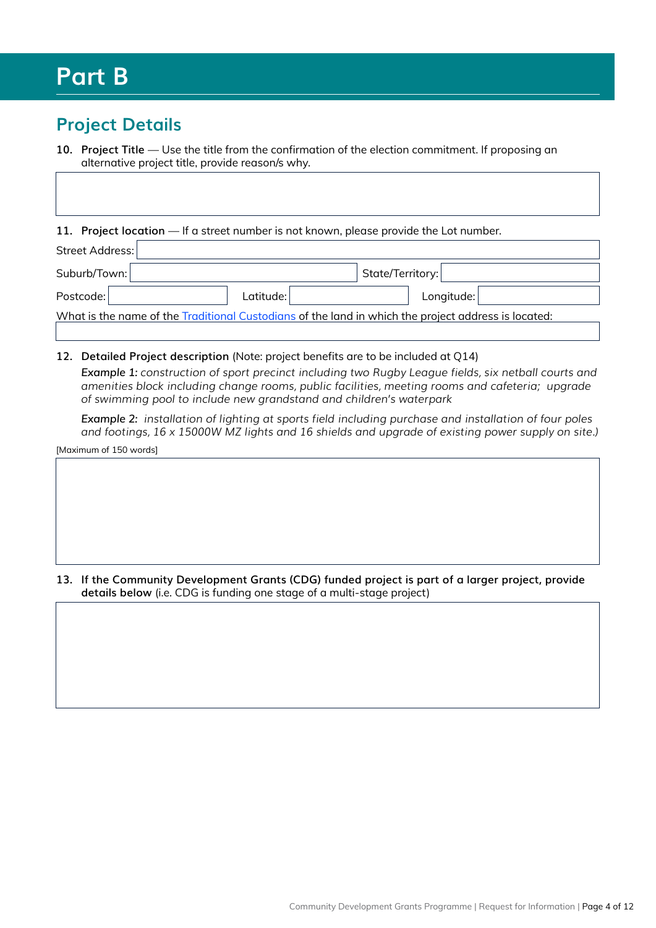### **Part B**

### **Project Details**

**10. Project Title** — Use the title from the confirmation of the election commitment. If proposing an alternative project title, provide reason/s why.

11. Project location — If a street number is not known, please provide the Lot number.

| Street Address: |             |                                                                                                     |  |  |
|-----------------|-------------|-----------------------------------------------------------------------------------------------------|--|--|
| Suburb/Town:    |             | State/Territory:                                                                                    |  |  |
| Postcode:       | Latitude: l | Longitude:                                                                                          |  |  |
|                 |             | What is the name of the Traditional Custodians of the land in which the project address is located: |  |  |

#### **12. Detailed Project description** (Note: project benefits are to be included at Q14)

*Example 1: construction of sport precinct including two Rugby League fields, six netball courts and amenities block including change rooms, public facilities, meeting rooms and cafeteria; upgrade of swimming pool to include new grandstand and children's waterpark*

*Example 2: installation of lighting at sports field including purchase and installation of four poles and footings, 16 x 15000W MZ lights and 16 shields and upgrade of existing power supply on site.)*

[Maximum of 150 words]

**13. If the Community Development Grants (CDG) funded project is part of a larger project, provide details below** (i.e. CDG is funding one stage of a multi-stage project)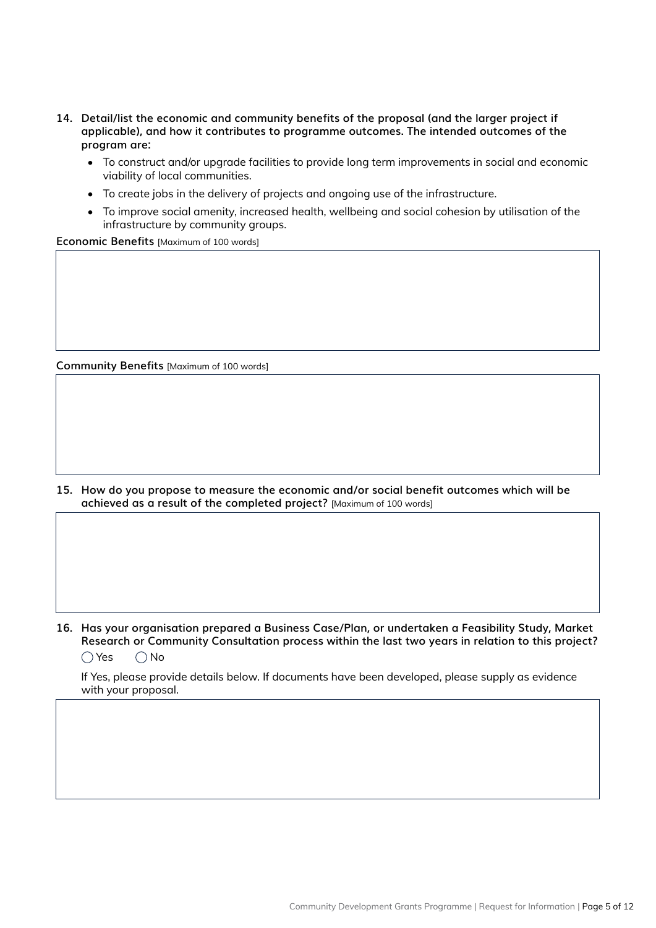- **14. Detail/list the economic and community benefits of the proposal (and the larger project if applicable), and how it contributes to programme outcomes. The intended outcomes of the program are:**
	- To construct and/or upgrade facilities to provide long term improvements in social and economic viability of local communities.
	- To create jobs in the delivery of projects and ongoing use of the infrastructure.
	- To improve social amenity, increased health, wellbeing and social cohesion by utilisation of the infrastructure by community groups.

**Economic Benefits** [Maximum of 100 words]

**Community Benefits** [Maximum of 100 words]

**15. How do you propose to measure the economic and/or social benefit outcomes which will be achieved as a result of the completed project?** [Maximum of 100 words]

**16. Has your organisation prepared a Business Case/Plan, or undertaken a Feasibility Study, Market Research or Community Consultation process within the last two years in relation to this project?**   $\bigcirc$  Yes  $\bigcirc$  No

If Yes, please provide details below. If documents have been developed, please supply as evidence with your proposal.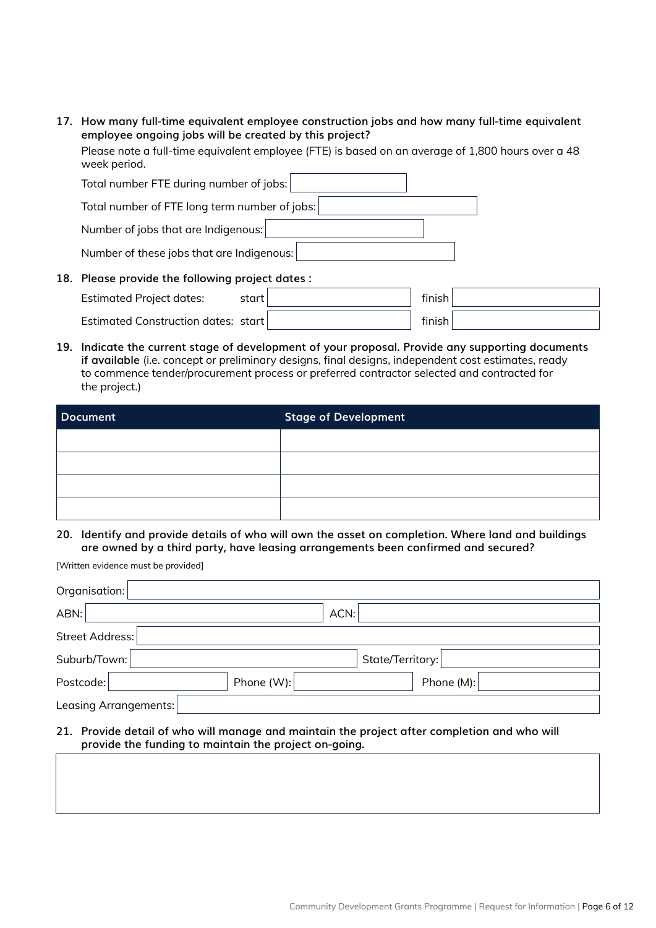**17. How many full-time equivalent employee construction jobs and how many full-time equivalent employee ongoing jobs will be created by this project?** 

Please note a full-time equivalent employee (FTE) is based on an average of 1,800 hours over a 48 week period.

| Total number FTE during number of jobs:       |  |  |  |  |
|-----------------------------------------------|--|--|--|--|
| Total number of FTE long term number of jobs: |  |  |  |  |
| Number of jobs that are Indigenous:           |  |  |  |  |
| Number of these jobs that are Indigenous:     |  |  |  |  |

**18. Please provide the following project dates :**

| <b>Estimated Project dates:</b>     | start | tınısh |  |
|-------------------------------------|-------|--------|--|
| Estimated Construction dates: start |       | finish |  |

**19. Indicate the current stage of development of your proposal. Provide any supporting documents if available** (i.e. concept or preliminary designs, final designs, independent cost estimates, ready to commence tender/procurement process or preferred contractor selected and contracted for the project.)

| Document | <b>Stage of Development</b> |  |
|----------|-----------------------------|--|
|          |                             |  |
|          |                             |  |
|          |                             |  |
|          |                             |  |

**20. Identify and provide details of who will own the asset on completion. Where land and buildings are owned by a third party, have leasing arrangements been confirmed and secured?**

[Written evidence must be provided]

| Organisation:         |              |                  |                                                                                         |  |
|-----------------------|--------------|------------------|-----------------------------------------------------------------------------------------|--|
| ABN:                  |              | ACN:             |                                                                                         |  |
| Street Address:       |              |                  |                                                                                         |  |
| Suburb/Town:          |              | State/Territory: |                                                                                         |  |
| Postcode:             | Phone $(W):$ |                  | Phone $(M):$                                                                            |  |
| Leasing Arrangements: |              |                  |                                                                                         |  |
| 21                    |              |                  | Drovida datail af who will monography dominicated project after completion and who will |  |

**21. Provide detail of who will manage and maintain the project after completion and who will provide the funding to maintain the project on-going.**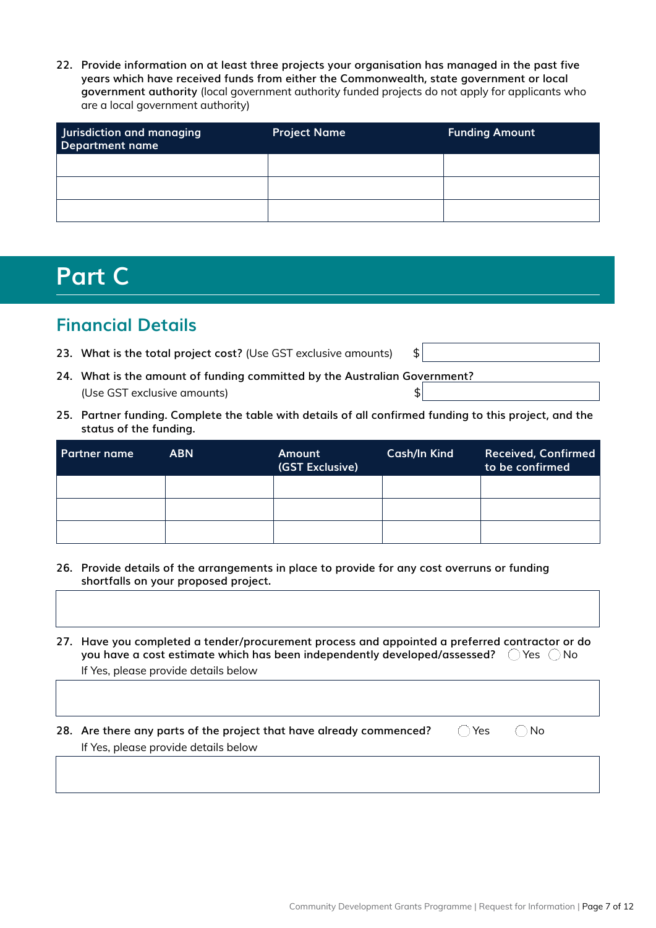**22. Provide information on at least three projects your organisation has managed in the past five years which have received funds from either the Commonwealth, state government or local government authority** (local government authority funded projects do not apply for applicants who are a local government authority)

| Jurisdiction and managing<br>Department name | <b>Project Name</b> | <b>Funding Amount</b> |
|----------------------------------------------|---------------------|-----------------------|
|                                              |                     |                       |
|                                              |                     |                       |
|                                              |                     |                       |

### **Part C**

### **Financial Details**

- 23. What is the total project cost? (Use GST exclusive amounts) \$
- **24. What is the amount of funding committed by the Australian Government?**  (Use GST exclusive amounts) \$
- **25. Partner funding. Complete the table with details of all confirmed funding to this project, and the status of the funding.**

| <b>Partner name</b> | <b>ABN</b> | Amount<br>(GST Exclusive) | Cash/In Kind | <b>Received, Confirmed</b><br>to be confirmed |
|---------------------|------------|---------------------------|--------------|-----------------------------------------------|
|                     |            |                           |              |                                               |
|                     |            |                           |              |                                               |
|                     |            |                           |              |                                               |

- **26. Provide details of the arrangements in place to provide for any cost overruns or funding shortfalls on your proposed project.**
- **27. Have you completed a tender/procurement process and appointed a preferred contractor or do you have a cost estimate which has been independently developed/assessed?**  $\bigcirc$  Yes  $\bigcirc$  No If Yes, please provide details below

**28.** Are there any parts of the project that have already commenced?  $\bigcirc$  Yes  $\bigcirc$  No If Yes, please provide details below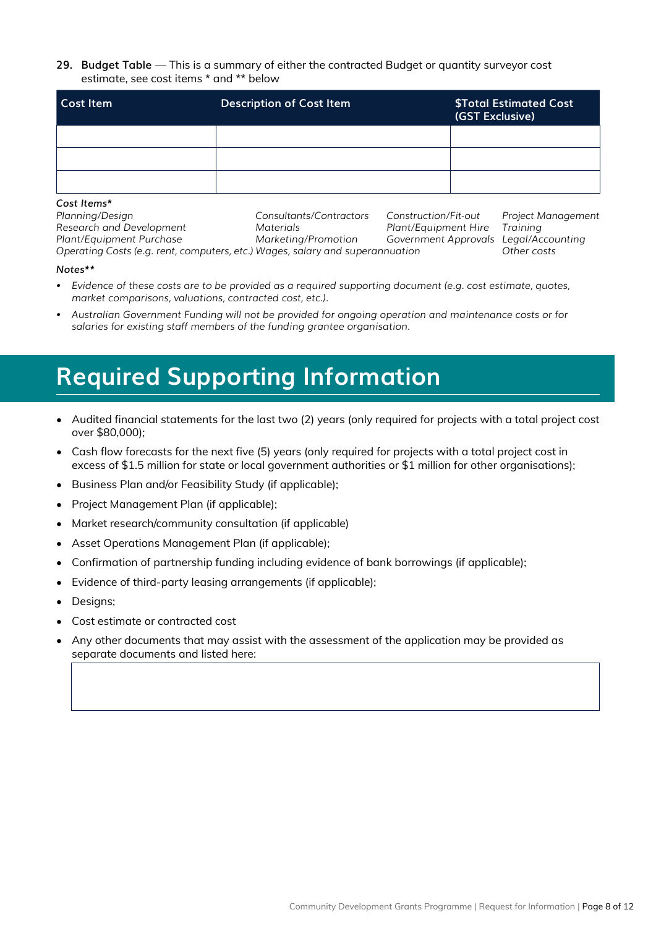**29. Budget Table** — This is a summary of either the contracted Budget or quantity surveyor cost estimate, see cost items \* and \*\* below

| <b>Cost Item</b> | <b>Description of Cost Item</b> | <b>\$Total Estimated Cost</b><br>(GST Exclusive) |
|------------------|---------------------------------|--------------------------------------------------|
|                  |                                 |                                                  |
|                  |                                 |                                                  |
|                  |                                 |                                                  |

#### *Cost Items\**

| Planning/Design                                                               | Consultants/Contractors | Construction/Fit-out                  | Project Management |
|-------------------------------------------------------------------------------|-------------------------|---------------------------------------|--------------------|
| Research and Development                                                      | <i>Materials</i>        | Plant/Equipment Hire                  | Training           |
| Plant/Equipment Purchase                                                      | Marketina/Promotion     | Government Approvals Legal/Accounting |                    |
| Operating Costs (e.g. rent, computers, etc.) Wages, salary and superannuation | Other costs             |                                       |                    |

#### *Notes\*\**

- *• Evidence of these costs are to be provided as a required supporting document (e.g. cost estimate, quotes, market comparisons, valuations, contracted cost, etc.).*
- *• Australian Government Funding will not be provided for ongoing operation and maintenance costs or for salaries for existing staff members of the funding grantee organisation.*

## **Required Supporting Information**

- Audited financial statements for the last two (2) years (only required for projects with a total project cost over \$80,000);
- Cash flow forecasts for the next five (5) years (only required for projects with a total project cost in excess of \$1.5 million for state or local government authorities or \$1 million for other organisations);
- Business Plan and/or Feasibility Study (if applicable);
- Project Management Plan (if applicable);
- Market research/community consultation (if applicable)
- Asset Operations Management Plan (if applicable);
- Confirmation of partnership funding including evidence of bank borrowings (if applicable);
- Evidence of third-party leasing arrangements (if applicable);
- Designs;
- Cost estimate or contracted cost
- Any other documents that may assist with the assessment of the application may be provided as separate documents and listed here: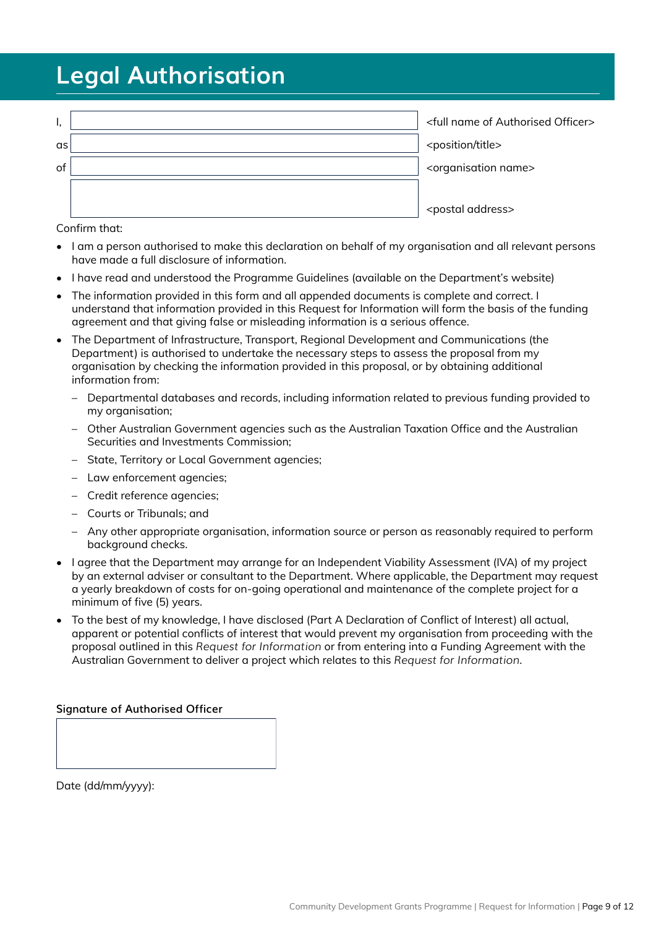## **Legal Authorisation**

| Ι, | <full authorised="" name="" of="" officer=""></full> |
|----|------------------------------------------------------|
| as | <position title=""></position>                       |
| of | <organisation name=""></organisation>                |
|    |                                                      |
|    | <postal address=""></postal>                         |

Confirm that:

- I am a person authorised to make this declaration on behalf of my organisation and all relevant persons have made a full disclosure of information.
- I have read and understood the Programme Guidelines (available on the Department's website)
- The information provided in this form and all appended documents is complete and correct. I understand that information provided in this Request for Information will form the basis of the funding agreement and that giving false or misleading information is a serious offence.
- The Department of Infrastructure, Transport, Regional Development and Communications (the Department) is authorised to undertake the necessary steps to assess the proposal from my organisation by checking the information provided in this proposal, or by obtaining additional information from:
	- Departmental databases and records, including information related to previous funding provided to my organisation;
	- Other Australian Government agencies such as the Australian Taxation Office and the Australian Securities and Investments Commission;
	- State, Territory or Local Government agencies;
	- Law enforcement agencies;
	- Credit reference agencies;
	- Courts or Tribunals; and
	- Any other appropriate organisation, information source or person as reasonably required to perform background checks.
- I agree that the Department may arrange for an Independent Viability Assessment (IVA) of my project by an external adviser or consultant to the Department. Where applicable, the Department may request a yearly breakdown of costs for on-going operational and maintenance of the complete project for a minimum of five (5) years.
- To the best of my knowledge, I have disclosed (Part A Declaration of Conflict of Interest) all actual, apparent or potential conflicts of interest that would prevent my organisation from proceeding with the proposal outlined in this *Request for Information* or from entering into a Funding Agreement with the Australian Government to deliver a project which relates to this *Request for Information*.

#### **Signature of Authorised Officer**

Date (dd/mm/yyyy):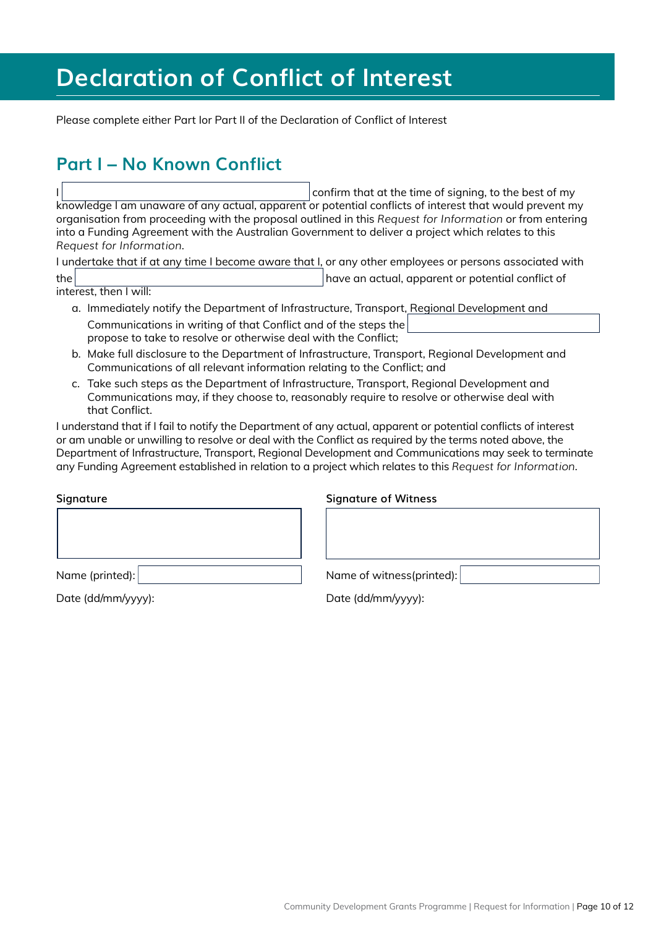## **Declaration of Conflict of Interest**

Please complete either Part Ior Part II of the Declaration of Conflict of Interest

### **Part I – No Known Conflict**

confirm that at the time of signing, to the best of my knowledge I am unaware of any actual, apparent or potential conflicts of interest that would prevent my organisation from proceeding with the proposal outlined in this *Request for Information* or from entering into a Funding Agreement with the Australian Government to deliver a project which relates to this *Request for Information*.

I undertake that if at any time I become aware that I, or any other employees or persons associated with the have an actual, apparent or potential conflict of

interest, then I will:

- a. Immediately notify the Department of Infrastructure, Transport, Regional Development and Communications in writing of that Conflict and of the steps the propose to take to resolve or otherwise deal with the Conflict;
- b. Make full disclosure to the Department of Infrastructure, Transport, Regional Development and Communications of all relevant information relating to the Conflict; and
- c. Take such steps as the Department of Infrastructure, Transport, Regional Development and Communications may, if they choose to, reasonably require to resolve or otherwise deal with that Conflict.

I understand that if I fail to notify the Department of any actual, apparent or potential conflicts of interest or am unable or unwilling to resolve or deal with the Conflict as required by the terms noted above, the Department of Infrastructure, Transport, Regional Development and Communications may seek to terminate any Funding Agreement established in relation to a project which relates to this *Request for Information*.

**Signature Signature of Witness**

Date (dd/mm/yyyy): Date (dd/mm/yyyy):

Name (printed): Name (printed): Name (printed): Name of witness(printed):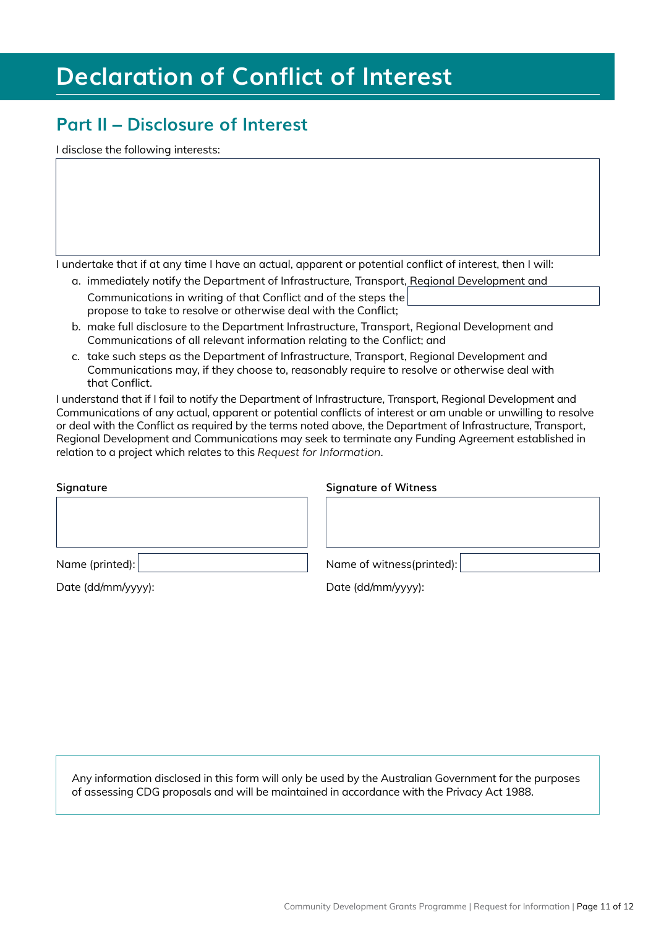## **Declaration of Conflict of Interest**

### **Part II – Disclosure of Interest**

I disclose the following interests:

I undertake that if at any time I have an actual, apparent or potential conflict of interest, then I will:

a. immediately notify the Department of Infrastructure, Transport, Regional Development and

Communications in writing of that Conflict and of the steps the propose to take to resolve or otherwise deal with the Conflict;

- b. make full disclosure to the Department Infrastructure, Transport, Regional Development and Communications of all relevant information relating to the Conflict; and
- c. take such steps as the Department of Infrastructure, Transport, Regional Development and Communications may, if they choose to, reasonably require to resolve or otherwise deal with that Conflict.

I understand that if I fail to notify the Department of Infrastructure, Transport, Regional Development and Communications of any actual, apparent or potential conflicts of interest or am unable or unwilling to resolve or deal with the Conflict as required by the terms noted above, the Department of Infrastructure, Transport, Regional Development and Communications may seek to terminate any Funding Agreement established in relation to a project which relates to this *Request for Information*.

| Signature       | <b>Signature of Witness</b> |
|-----------------|-----------------------------|
|                 |                             |
|                 |                             |
|                 |                             |
| Name (printed): | Name of witness(printed):   |
|                 |                             |

Date (dd/mm/yyyy): Date (dd/mm/yyyy):

Any information disclosed in this form will only be used by the Australian Government for the purposes of assessing CDG proposals and will be maintained in accordance with the Privacy Act 1988.